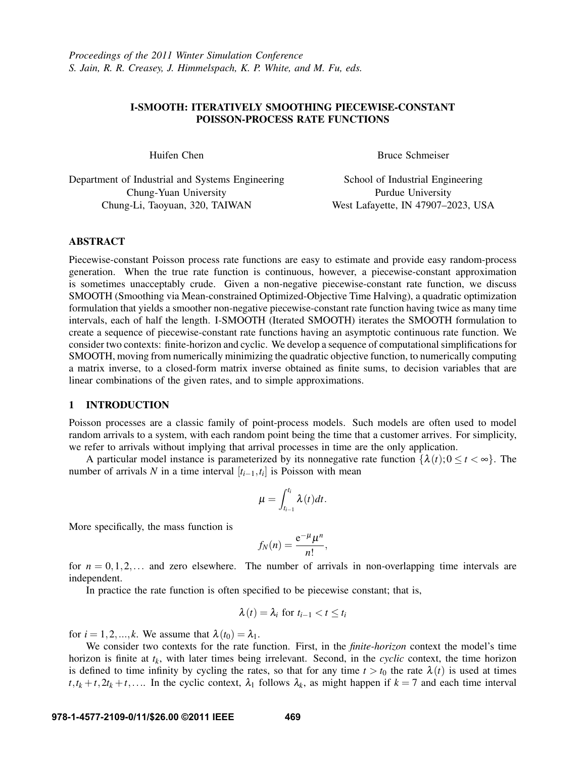# I-SMOOTH: ITERATIVELY SMOOTHING PIECEWISE-CONSTANT POISSON-PROCESS RATE FUNCTIONS

Huifen Chen

Bruce Schmeiser

Department of Industrial and Systems Engineering Chung-Yuan University Chung-Li, Taoyuan, 320, TAIWAN

School of Industrial Engineering Purdue University West Lafayette, IN 47907–2023, USA

# ABSTRACT

Piecewise-constant Poisson process rate functions are easy to estimate and provide easy random-process generation. When the true rate function is continuous, however, a piecewise-constant approximation is sometimes unacceptably crude. Given a non-negative piecewise-constant rate function, we discuss SMOOTH (Smoothing via Mean-constrained Optimized-Objective Time Halving), a quadratic optimization formulation that yields a smoother non-negative piecewise-constant rate function having twice as many time intervals, each of half the length. I-SMOOTH (Iterated SMOOTH) iterates the SMOOTH formulation to create a sequence of piecewise-constant rate functions having an asymptotic continuous rate function. We consider two contexts: finite-horizon and cyclic. We develop a sequence of computational simplifications for SMOOTH, moving from numerically minimizing the quadratic objective function, to numerically computing a matrix inverse, to a closed-form matrix inverse obtained as finite sums, to decision variables that are linear combinations of the given rates, and to simple approximations.

## 1 INTRODUCTION

Poisson processes are a classic family of point-process models. Such models are often used to model random arrivals to a system, with each random point being the time that a customer arrives. For simplicity, we refer to arrivals without implying that arrival processes in time are the only application.

A particular model instance is parameterized by its nonnegative rate function  $\{\lambda(t); 0 \le t \le \infty\}$ . The number of arrivals *N* in a time interval  $[t_{i-1}, t_i]$  is Poisson with mean

$$
\mu=\int_{t_{i-1}}^{t_i}\lambda(t)dt.
$$

More specifically, the mass function is

$$
f_N(n) = \frac{e^{-\mu} \mu^n}{n!},
$$

for  $n = 0, 1, 2, \ldots$  and zero elsewhere. The number of arrivals in non-overlapping time intervals are independent.

In practice the rate function is often specified to be piecewise constant; that is,

$$
\lambda(t) = \lambda_i \text{ for } t_{i-1} < t \leq t_i
$$

for  $i = 1, 2, ..., k$ . We assume that  $\lambda(t_0) = \lambda_1$ .

We consider two contexts for the rate function. First, in the *finite-horizon* context the model's time horizon is finite at *tk*, with later times being irrelevant. Second, in the *cyclic* context, the time horizon is defined to time infinity by cycling the rates, so that for any time  $t > t_0$  the rate  $\lambda(t)$  is used at times  $t, t_k + t, 2t_k + t, \ldots$  In the cyclic context,  $\lambda_1$  follows  $\lambda_k$ , as might happen if  $k = 7$  and each time interval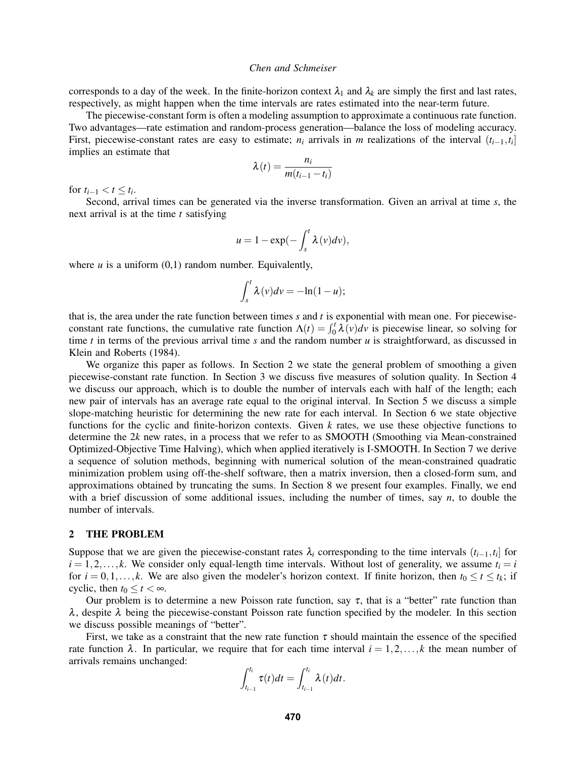corresponds to a day of the week. In the finite-horizon context  $\lambda_1$  and  $\lambda_k$  are simply the first and last rates, respectively, as might happen when the time intervals are rates estimated into the near-term future.

The piecewise-constant form is often a modeling assumption to approximate a continuous rate function. Two advantages—rate estimation and random-process generation—balance the loss of modeling accuracy. First, piecewise-constant rates are easy to estimate;  $n_i$  arrivals in *m* realizations of the interval  $(t_{i-1}, t_i]$ implies an estimate that

$$
\lambda(t) = \frac{n_i}{m(t_{i-1} - t_i)}
$$

for  $t_{i-1} < t \leq t_i$ .

Second, arrival times can be generated via the inverse transformation. Given an arrival at time *s*, the next arrival is at the time *t* satisfying

$$
u=1-\exp(-\int_{s}^{t}\lambda(v)dv),
$$

where  $u$  is a uniform  $(0,1)$  random number. Equivalently,

$$
\int_{s}^{t} \lambda(v) dv = -\ln(1-u);
$$

that is, the area under the rate function between times *s* and *t* is exponential with mean one. For piecewiseconstant rate functions, the cumulative rate function  $\Lambda(t) = \int_0^t \lambda(v) dv$  is piecewise linear, so solving for time *t* in terms of the previous arrival time *s* and the random number *u* is straightforward, as discussed in Klein and Roberts (1984).

We organize this paper as follows. In Section 2 we state the general problem of smoothing a given piecewise-constant rate function. In Section 3 we discuss five measures of solution quality. In Section 4 we discuss our approach, which is to double the number of intervals each with half of the length; each new pair of intervals has an average rate equal to the original interval. In Section 5 we discuss a simple slope-matching heuristic for determining the new rate for each interval. In Section 6 we state objective functions for the cyclic and finite-horizon contexts. Given *k* rates, we use these objective functions to determine the 2*k* new rates, in a process that we refer to as SMOOTH (Smoothing via Mean-constrained Optimized-Objective Time Halving), which when applied iteratively is I-SMOOTH. In Section 7 we derive a sequence of solution methods, beginning with numerical solution of the mean-constrained quadratic minimization problem using off-the-shelf software, then a matrix inversion, then a closed-form sum, and approximations obtained by truncating the sums. In Section 8 we present four examples. Finally, we end with a brief discussion of some additional issues, including the number of times, say *n*, to double the number of intervals.

#### 2 THE PROBLEM

Suppose that we are given the piecewise-constant rates  $\lambda_i$  corresponding to the time intervals  $(t_{i-1}, t_i]$  for  $i = 1, 2, \ldots, k$ . We consider only equal-length time intervals. Without lost of generality, we assume  $t_i = i$ for  $i = 0, 1, \ldots, k$ . We are also given the modeler's horizon context. If finite horizon, then  $t_0 \le t \le t_k$ ; if cyclic, then  $t_0 \leq t < \infty$ .

Our problem is to determine a new Poisson rate function, say  $\tau$ , that is a "better" rate function than  $\lambda$ , despite  $\lambda$  being the piecewise-constant Poisson rate function specified by the modeler. In this section we discuss possible meanings of "better".

First, we take as a constraint that the new rate function  $\tau$  should maintain the essence of the specified rate function  $\lambda$ . In particular, we require that for each time interval  $i = 1, 2, ..., k$  the mean number of arrivals remains unchanged:

$$
\int_{t_{i-1}}^{t_i} \tau(t)dt = \int_{t_{i-1}}^{t_i} \lambda(t)dt.
$$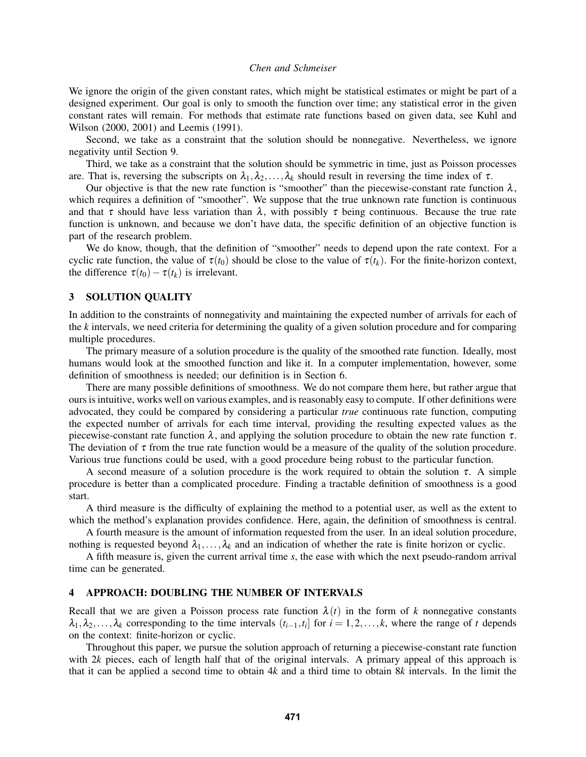We ignore the origin of the given constant rates, which might be statistical estimates or might be part of a designed experiment. Our goal is only to smooth the function over time; any statistical error in the given constant rates will remain. For methods that estimate rate functions based on given data, see Kuhl and Wilson (2000, 2001) and Leemis (1991).

Second, we take as a constraint that the solution should be nonnegative. Nevertheless, we ignore negativity until Section 9.

Third, we take as a constraint that the solution should be symmetric in time, just as Poisson processes are. That is, reversing the subscripts on  $\lambda_1, \lambda_2, \ldots, \lambda_k$  should result in reversing the time index of  $\tau$ .

Our objective is that the new rate function is "smoother" than the piecewise-constant rate function  $\lambda$ , which requires a definition of "smoother". We suppose that the true unknown rate function is continuous and that  $\tau$  should have less variation than  $\lambda$ , with possibly  $\tau$  being continuous. Because the true rate function is unknown, and because we don't have data, the specific definition of an objective function is part of the research problem.

We do know, though, that the definition of "smoother" needs to depend upon the rate context. For a cyclic rate function, the value of  $\tau(t_0)$  should be close to the value of  $\tau(t_k)$ . For the finite-horizon context, the difference  $\tau(t_0) - \tau(t_k)$  is irrelevant.

# 3 SOLUTION QUALITY

In addition to the constraints of nonnegativity and maintaining the expected number of arrivals for each of the *k* intervals, we need criteria for determining the quality of a given solution procedure and for comparing multiple procedures.

The primary measure of a solution procedure is the quality of the smoothed rate function. Ideally, most humans would look at the smoothed function and like it. In a computer implementation, however, some definition of smoothness is needed; our definition is in Section 6.

There are many possible definitions of smoothness. We do not compare them here, but rather argue that ours is intuitive, works well on various examples, and is reasonably easy to compute. If other definitions were advocated, they could be compared by considering a particular *true* continuous rate function, computing the expected number of arrivals for each time interval, providing the resulting expected values as the piecewise-constant rate function  $\lambda$ , and applying the solution procedure to obtain the new rate function  $\tau$ . The deviation of  $\tau$  from the true rate function would be a measure of the quality of the solution procedure. Various true functions could be used, with a good procedure being robust to the particular function.

A second measure of a solution procedure is the work required to obtain the solution  $\tau$ . A simple procedure is better than a complicated procedure. Finding a tractable definition of smoothness is a good start.

A third measure is the difficulty of explaining the method to a potential user, as well as the extent to which the method's explanation provides confidence. Here, again, the definition of smoothness is central.

A fourth measure is the amount of information requested from the user. In an ideal solution procedure, nothing is requested beyond  $\lambda_1, \ldots, \lambda_k$  and an indication of whether the rate is finite horizon or cyclic.

A fifth measure is, given the current arrival time *s*, the ease with which the next pseudo-random arrival time can be generated.

## 4 APPROACH: DOUBLING THE NUMBER OF INTERVALS

Recall that we are given a Poisson process rate function  $\lambda(t)$  in the form of k nonnegative constants  $\lambda_1, \lambda_2, \ldots, \lambda_k$  corresponding to the time intervals  $(t_{i-1}, t_i]$  for  $i = 1, 2, \ldots, k$ , where the range of *t* depends on the context: finite-horizon or cyclic.

Throughout this paper, we pursue the solution approach of returning a piecewise-constant rate function with 2*k* pieces, each of length half that of the original intervals. A primary appeal of this approach is that it can be applied a second time to obtain 4*k* and a third time to obtain 8*k* intervals. In the limit the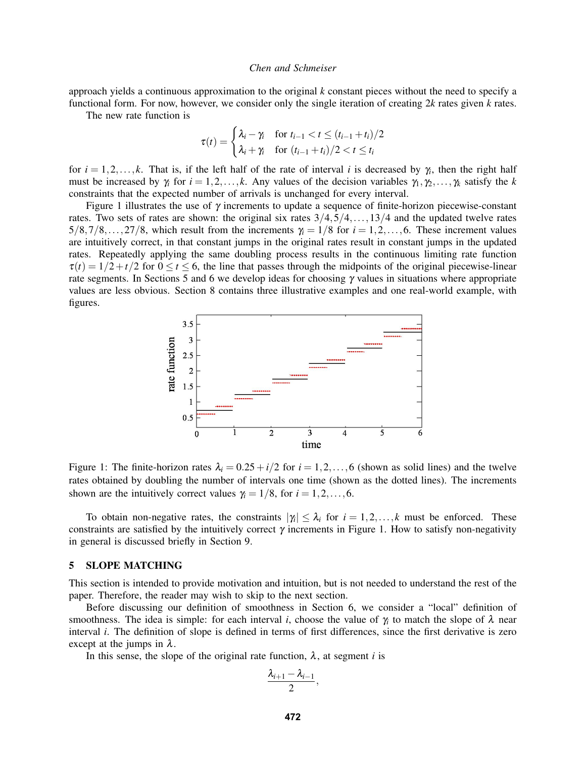approach yields a continuous approximation to the original *k* constant pieces without the need to specify a functional form. For now, however, we consider only the single iteration of creating  $2k$  rates given  $k$  rates.

The new rate function is

$$
\tau(t) = \begin{cases} \lambda_i - \gamma_i & \text{for } t_{i-1} < t \le (t_{i-1} + t_i)/2 \\ \lambda_i + \gamma_i & \text{for } (t_{i-1} + t_i)/2 < t \le t_i \end{cases}
$$

for  $i = 1, 2, \ldots, k$ . That is, if the left half of the rate of interval *i* is decreased by  $\gamma_i$ , then the right half must be increased by  $\gamma_i$  for  $i = 1, 2, ..., k$ . Any values of the decision variables  $\gamma_1, \gamma_2, ..., \gamma_k$  satisfy the *k* constraints that the expected number of arrivals is unchanged for every interval.

Figure 1 illustrates the use of  $\gamma$  increments to update a sequence of finite-horizon piecewise-constant rates. Two sets of rates are shown: the original six rates  $3/4,5/4,...,13/4$  and the updated twelve rates  $5/8,7/8,\ldots,27/8$ , which result from the increments  $\gamma_i = 1/8$  for  $i = 1,2,\ldots,6$ . These increment values are intuitively correct, in that constant jumps in the original rates result in constant jumps in the updated rates. Repeatedly applying the same doubling process results in the continuous limiting rate function  $\tau(t) = 1/2 + t/2$  for  $0 \le t \le 6$ , the line that passes through the midpoints of the original piecewise-linear rate segments. In Sections 5 and 6 we develop ideas for choosing  $\gamma$  values in situations where appropriate values are less obvious. Section 8 contains three illustrative examples and one real-world example, with figures.



Figure 1: The finite-horizon rates  $\lambda_i = 0.25 + i/2$  for  $i = 1, 2, ..., 6$  (shown as solid lines) and the twelve rates obtained by doubling the number of intervals one time (shown as the dotted lines). The increments shown are the intuitively correct values  $\gamma_i = 1/8$ , for  $i = 1, 2, \dots, 6$ .

To obtain non-negative rates, the constraints  $|\gamma_i| \leq \lambda_i$  for  $i = 1, 2, ..., k$  must be enforced. These constraints are satisfied by the intuitively correct  $\gamma$  increments in Figure 1. How to satisfy non-negativity in general is discussed briefly in Section 9.

### 5 SLOPE MATCHING

This section is intended to provide motivation and intuition, but is not needed to understand the rest of the paper. Therefore, the reader may wish to skip to the next section.

Before discussing our definition of smoothness in Section 6, we consider a "local" definition of smoothness. The idea is simple: for each interval *i*, choose the value of  $\gamma_i$  to match the slope of  $\lambda$  near interval *i*. The definition of slope is defined in terms of first differences, since the first derivative is zero except at the jumps in  $\lambda$ .

In this sense, the slope of the original rate function,  $\lambda$ , at segment *i* is

$$
\frac{\lambda_{i+1}-\lambda_{i-1}}{2},
$$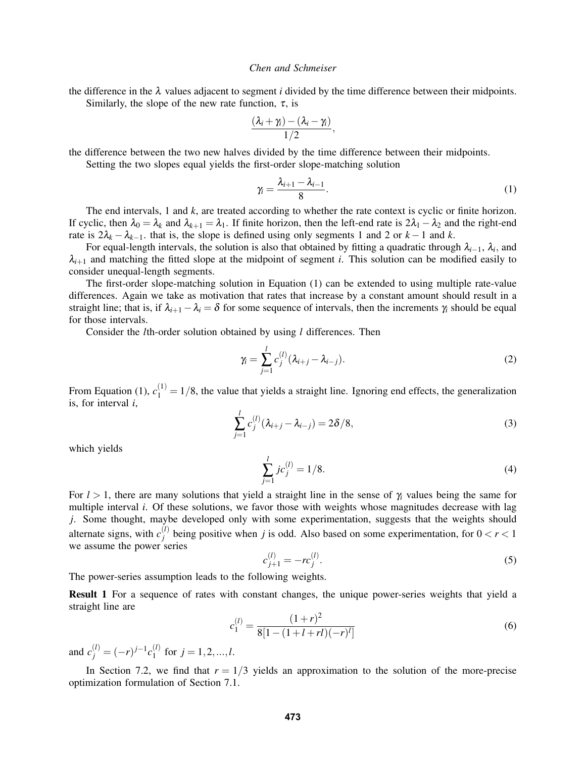the difference in the  $\lambda$  values adjacent to segment *i* divided by the time difference between their midpoints. Similarly, the slope of the new rate function,  $\tau$ , is

$$
\frac{(\lambda_i+\gamma_i)-(\lambda_i-\gamma_i)}{1/2},
$$

the difference between the two new halves divided by the time difference between their midpoints.

Setting the two slopes equal yields the first-order slope-matching solution

$$
\gamma_i = \frac{\lambda_{i+1} - \lambda_{i-1}}{8}.\tag{1}
$$

The end intervals, 1 and *k*, are treated according to whether the rate context is cyclic or finite horizon. If cyclic, then  $\lambda_0 = \lambda_k$  and  $\lambda_{k+1} = \lambda_1$ . If finite horizon, then the left-end rate is  $2\lambda_1 - \lambda_2$  and the right-end rate is  $2\lambda_k - \lambda_{k-1}$ , that is, the slope is defined using only segments 1 and 2 or  $k-1$  and  $k$ .

For equal-length intervals, the solution is also that obtained by fitting a quadratic through λ*i*−1, λ*<sup>i</sup>* , and  $\lambda_{i+1}$  and matching the fitted slope at the midpoint of segment *i*. This solution can be modified easily to consider unequal-length segments.

The first-order slope-matching solution in Equation (1) can be extended to using multiple rate-value differences. Again we take as motivation that rates that increase by a constant amount should result in a straight line; that is, if  $\lambda_{i+1} - \lambda_i = \delta$  for some sequence of intervals, then the increments  $\gamma_i$  should be equal for those intervals.

Consider the *l*th-order solution obtained by using *l* differences. Then

$$
\gamma_i = \sum_{j=1}^{l} c_j^{(l)} (\lambda_{i+j} - \lambda_{i-j}).
$$
\n(2)

From Equation (1),  $c_1^{(1)} = 1/8$ , the value that yields a straight line. Ignoring end effects, the generalization is, for interval *i*,

$$
\sum_{j=1}^{l} c_j^{(l)} (\lambda_{i+j} - \lambda_{i-j}) = 2\delta/8,
$$
\n(3)

which yields

$$
\sum_{j=1}^{l} j c_j^{(l)} = 1/8.
$$
\n(4)

For *l* > 1, there are many solutions that yield a straight line in the sense of γ*<sup>i</sup>* values being the same for multiple interval *i*. Of these solutions, we favor those with weights whose magnitudes decrease with lag *j*. Some thought, maybe developed only with some experimentation, suggests that the weights should alternate signs, with  $c_i^{(l)}$  $j^{(l)}$  being positive when *j* is odd. Also based on some experimentation, for  $0 < r < 1$ we assume the power series

$$
c_{j+1}^{(l)} = -rc_j^{(l)}.\t\t(5)
$$

The power-series assumption leads to the following weights.

Result 1 For a sequence of rates with constant changes, the unique power-series weights that yield a straight line are

$$
c_1^{(l)} = \frac{(1+r)^2}{8[1-(1+l+rl)(-r)^l]}
$$
\n(6)

and  $c_j^{(l)} = (-r)^{j-1} c_1^{(l)}$  $j = 1, 2, ..., l$ .

In Section 7.2, we find that  $r = 1/3$  yields an approximation to the solution of the more-precise optimization formulation of Section 7.1.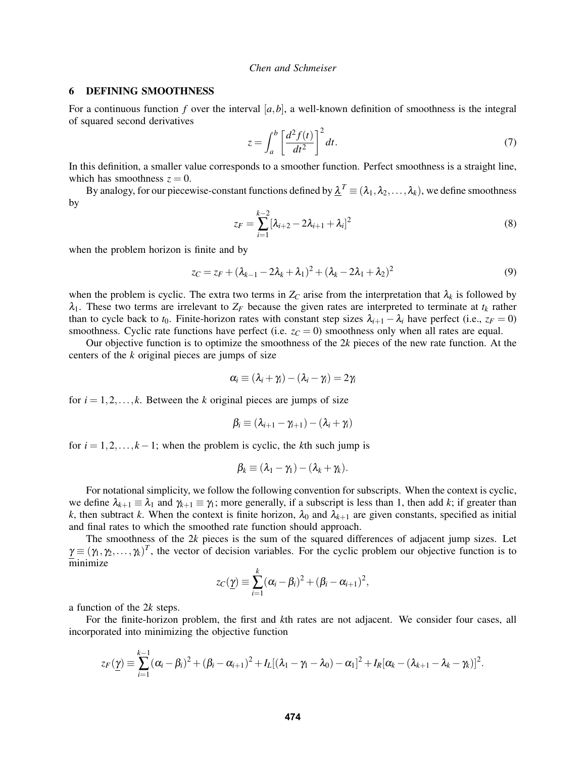## 6 DEFINING SMOOTHNESS

For a continuous function *f* over the interval  $[a, b]$ , a well-known definition of smoothness is the integral of squared second derivatives

$$
z = \int_{a}^{b} \left[ \frac{d^2 f(t)}{dt^2} \right]^2 dt.
$$
 (7)

In this definition, a smaller value corresponds to a smoother function. Perfect smoothness is a straight line, which has smoothness  $z = 0$ .

By analogy, for our piecewise-constant functions defined by  $\underline{\lambda}^T \equiv (\lambda_1,\lambda_2,\ldots,\lambda_k)$ , we define smoothness by

$$
z_F = \sum_{i=1}^{k-2} [\lambda_{i+2} - 2\lambda_{i+1} + \lambda_i]^2
$$
 (8)

when the problem horizon is finite and by

$$
z_C = z_F + (\lambda_{k-1} - 2\lambda_k + \lambda_1)^2 + (\lambda_k - 2\lambda_1 + \lambda_2)^2
$$
\n(9)

when the problem is cyclic. The extra two terms in  $Z_C$  arise from the interpretation that  $\lambda_k$  is followed by  $\lambda_1$ . These two terms are irrelevant to  $Z_F$  because the given rates are interpreted to terminate at  $t_k$  rather than to cycle back to  $t_0$ . Finite-horizon rates with constant step sizes  $\lambda_{i+1} - \lambda_i$  have perfect (i.e.,  $z_F = 0$ ) smoothness. Cyclic rate functions have perfect (i.e.  $z_C = 0$ ) smoothness only when all rates are equal.

Our objective function is to optimize the smoothness of the 2*k* pieces of the new rate function. At the centers of the *k* original pieces are jumps of size

$$
\alpha_i \equiv (\lambda_i + \gamma_i) - (\lambda_i - \gamma_i) = 2\gamma_i
$$

for  $i = 1, 2, \ldots, k$ . Between the *k* original pieces are jumps of size

$$
\beta_i \equiv (\lambda_{i+1} - \gamma_{i+1}) - (\lambda_i + \gamma_i)
$$

for  $i = 1, 2, \ldots, k - 1$ ; when the problem is cyclic, the *k*th such jump is

$$
\beta_k \equiv (\lambda_1 - \gamma_1) - (\lambda_k + \gamma_k).
$$

For notational simplicity, we follow the following convention for subscripts. When the context is cyclic, we define  $\lambda_{k+1} \equiv \lambda_1$  and  $\gamma_{k+1} \equiv \gamma_1$ ; more generally, if a subscript is less than 1, then add *k*; if greater than *k*, then subtract *k*. When the context is finite horizon,  $\lambda_0$  and  $\lambda_{k+1}$  are given constants, specified as initial and final rates to which the smoothed rate function should approach.

The smoothness of the 2*k* pieces is the sum of the squared differences of adjacent jump sizes. Let  $\gamma \equiv (\gamma_1, \gamma_2, \dots, \gamma_k)^T$ , the vector of decision variables. For the cyclic problem our objective function is to minimize

$$
zc(\underline{\gamma})\equiv \sum_{i=1}^k (\alpha_i-\beta_i)^2+(\beta_i-\alpha_{i+1})^2,
$$

a function of the 2*k* steps.

For the finite-horizon problem, the first and *k*th rates are not adjacent. We consider four cases, all incorporated into minimizing the objective function

$$
z_F(\underline{\gamma}) \equiv \sum_{i=1}^{k-1} (\alpha_i - \beta_i)^2 + (\beta_i - \alpha_{i+1})^2 + I_L[(\lambda_1 - \gamma_1 - \lambda_0) - \alpha_1]^2 + I_R[\alpha_k - (\lambda_{k+1} - \lambda_k - \gamma_k)]^2.
$$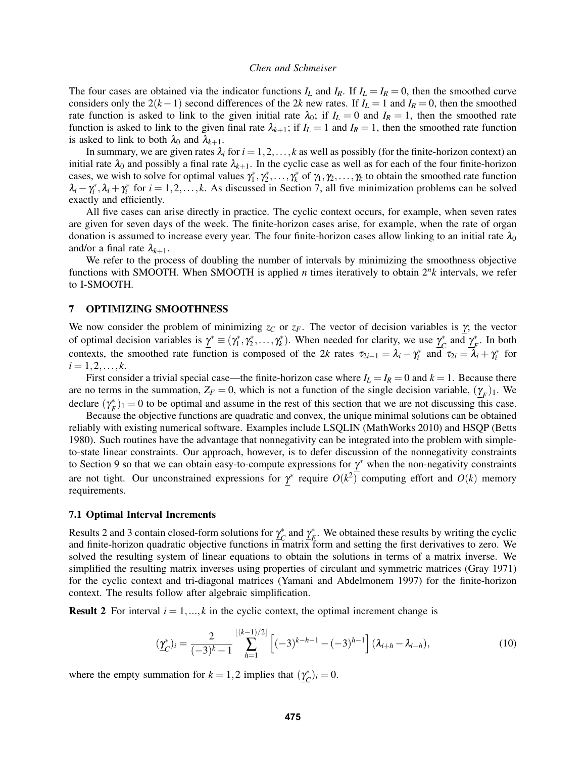The four cases are obtained via the indicator functions  $I_L$  and  $I_R$ . If  $I_L = I_R = 0$ , then the smoothed curve considers only the  $2(k-1)$  second differences of the 2*k* new rates. If  $I_L = 1$  and  $I_R = 0$ , then the smoothed rate function is asked to link to the given initial rate  $\lambda_0$ ; if  $I_L = 0$  and  $I_R = 1$ , then the smoothed rate function is asked to link to the given final rate  $\lambda_{k+1}$ ; if  $I_L = 1$  and  $I_R = 1$ , then the smoothed rate function is asked to link to both  $\lambda_0$  and  $\lambda_{k+1}$ .

In summary, we are given rates  $\lambda_i$  for  $i = 1, 2, ..., k$  as well as possibly (for the finite-horizon context) an initial rate  $\lambda_0$  and possibly a final rate  $\lambda_{k+1}$ . In the cyclic case as well as for each of the four finite-horizon cases, we wish to solve for optimal values  $\gamma_1^*, \gamma_2^*, \dots, \gamma_k^*$  of  $\gamma_1, \gamma_2, \dots, \gamma_k$  to obtain the smoothed rate function  $\lambda_i - \gamma_i^*$ ,  $\lambda_i + \gamma_i^*$  for  $i = 1, 2, \dots, k$ . As discussed in Section 7, all five minimization problems can be solved exactly and efficiently.

All five cases can arise directly in practice. The cyclic context occurs, for example, when seven rates are given for seven days of the week. The finite-horizon cases arise, for example, when the rate of organ donation is assumed to increase every year. The four finite-horizon cases allow linking to an initial rate  $\lambda_0$ and/or a final rate  $\lambda_{k+1}$ .

We refer to the process of doubling the number of intervals by minimizing the smoothness objective functions with SMOOTH. When SMOOTH is applied *n* times iteratively to obtain 2*<sup>n</sup> k* intervals, we refer to I-SMOOTH.

#### 7 OPTIMIZING SMOOTHNESS

We now consider the problem of minimizing  $z_c$  or  $z_F$ . The vector of decision variables is  $\gamma$ ; the vector of optimal decision variables is  $\underline{\gamma}^* \equiv (\gamma_1^*, \gamma_2^*, \dots, \gamma_k^*)$ . When needed for clarity, we use  $\underline{\gamma}_C^*$  $\int_{C}^{*}$  and  $\gamma_{F}^{*}$  $\frac{*}{F}$ . In both contexts, the smoothed rate function is composed of the 2*k* rates  $\tau_{2i-1} = \lambda_i - \gamma_i^*$  and  $\tau_{2i} = \lambda_i + \gamma_i^*$  for  $i = 1, 2, \ldots, k$ .

First consider a trivial special case—the finite-horizon case where  $I_L = I_R = 0$  and  $k = 1$ . Because there are no terms in the summation,  $Z_F = 0$ , which is not a function of the single decision variable,  $(\underline{\gamma}_F)_1$ . We declare  $(\gamma^*_p)$  $F(t)$ <sub> $F$ </sub>)<sub>1</sub> = 0 to be optimal and assume in the rest of this section that we are not discussing this case.

Because the objective functions are quadratic and convex, the unique minimal solutions can be obtained reliably with existing numerical software. Examples include LSQLIN (MathWorks 2010) and HSQP (Betts 1980). Such routines have the advantage that nonnegativity can be integrated into the problem with simpleto-state linear constraints. Our approach, however, is to defer discussion of the nonnegativity constraints to Section 9 so that we can obtain easy-to-compute expressions for  $\gamma^*$  when the non-negativity constraints are not tight. Our unconstrained expressions for  $\gamma^*$  require  $O(k^2)$  computing effort and  $O(k)$  memory requirements.

## 7.1 Optimal Interval Increments

Results 2 and 3 contain closed-form solutions for  $\gamma_c^*$  $\int_C^*$  and  $\gamma_f^*$  $F_F^*$ . We obtained these results by writing the cyclic and finite-horizon quadratic objective functions in matrix form and setting the first derivatives to zero. We solved the resulting system of linear equations to obtain the solutions in terms of a matrix inverse. We simplified the resulting matrix inverses using properties of circulant and symmetric matrices (Gray 1971) for the cyclic context and tri-diagonal matrices (Yamani and Abdelmonem 1997) for the finite-horizon context. The results follow after algebraic simplification.

**Result 2** For interval  $i = 1, ..., k$  in the cyclic context, the optimal increment change is

$$
(\underline{\gamma}_C^*)_i = \frac{2}{(-3)^k - 1} \sum_{h=1}^{\lfloor (k-1)/2 \rfloor} \left[ (-3)^{k-h-1} - (-3)^{h-1} \right] (\lambda_{i+h} - \lambda_{i-h}), \tag{10}
$$

where the empty summation for  $k = 1, 2$  implies that  $(\gamma_c^*)$  $_{C}^{*}$ )<sub>*i*</sub> = 0.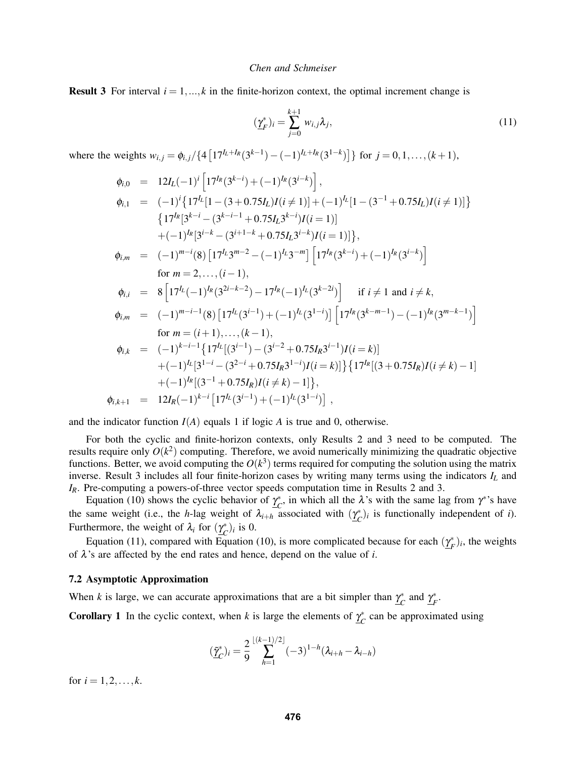**Result 3** For interval  $i = 1, ..., k$  in the finite-horizon context, the optimal increment change is

$$
(\underline{\gamma}_F^*)_i = \sum_{j=0}^{k+1} w_{i,j} \lambda_j,\tag{11}
$$

where the weights  $w_{i,j} = \phi_{i,j}/\{4\left[17^{I_L+I_R}(3^{k-1}) - (-1)^{I_L+I_R}(3^{1-k})\right]\}$  for  $j = 0, 1, ..., (k+1)$ ,

$$
\begin{array}{rcl}\n\phi_{i,0} & = & 12I_L(-1)^i \left[ 17^{I_R}(3^{k-i}) + (-1)^{I_R}(3^{i-k}) \right], \\
\phi_{i,1} & = & (-1)^i \left\{ 17^{I_L}[1 - (3 + 0.75I_L)I(i \neq 1)] + (-1)^{I_L}[1 - (3^{-1} + 0.75I_L)I(i \neq 1)] \right\} \\
& \left\{ 17^{I_R}[3^{k-i} - (3^{k-i-1} + 0.75I_L 3^{k-i})I(i = 1)] \right. \\
& \left. + (-1)^{I_R}[3^{i-k} - (3^{i+1-k} + 0.75I_L 3^{i-k})I(i = 1)] \right\}, \\
\phi_{i,m} & = & (-1)^{m-i}(8) \left[ 17^{I_L}3^{m-2} - (-1)^{I_L}3^{-m} \right] \left[ 17^{I_R}(3^{k-i}) + (-1)^{I_R}(3^{i-k}) \right] \\
\text{for } m = 2, \ldots, (i - 1), \\
\phi_{i,i} & = & 8 \left[ 17^{I_L}(-1)^{I_R}(3^{2i-k-2}) - 17^{I_R}(-1)^{I_L}(3^{k-2i}) \right] \quad \text{if } i \neq 1 \text{ and } i \neq k, \\
\phi_{i,m} & = & (-1)^{m-i-1}(8) \left[ 17^{I_L}(3^{i-1}) + (-1)^{I_L}(3^{1-i}) \right] \left[ 17^{I_R}(3^{k-m-1}) - (-1)^{I_R}(3^{m-k-1}) \right] \\
\text{for } m = (i + 1), \ldots, (k - 1), \\
\phi_{i,k} & = & (-1)^{k-i-1} \left\{ 17^{I_L}[(3^{i-1}) - (3^{i-2} + 0.75I_R 3^{i-1})I(i = k) \right\} \\
& + (-1)^{I_L}[3^{1-i} - (3^{2-i} + 0.75I_R 3^{1-i})I(i = k)] \\
& + (-1)^{I_R}[(3^{-1} + 0.75I_R)I(i \neq k) - 1] \\
\phi_{i,k+1} & = & 12I_R(-1)^{k-i} \left[ 17^{I_L}(3^{i-1})
$$

and the indicator function  $I(A)$  equals 1 if logic A is true and 0, otherwise.

For both the cyclic and finite-horizon contexts, only Results 2 and 3 need to be computed. The results require only  $O(k^2)$  computing. Therefore, we avoid numerically minimizing the quadratic objective functions. Better, we avoid computing the  $O(k^3)$  terms required for computing the solution using the matrix inverse. Result 3 includes all four finite-horizon cases by writing many terms using the indicators *I<sup>L</sup>* and *IR*. Pre-computing a powers-of-three vector speeds computation time in Results 2 and 3.

Equation (10) shows the cyclic behavior of  $\gamma_c^*$  $\chi^*_{C}$ , in which all the  $\lambda$ 's with the same lag from  $\gamma^*$ 's have the same weight (i.e., the *h*-lag weight of  $\lambda_{i+h}$  associated with  $(\gamma_c^*)$  $(C<sup>*</sup>)<sub>i</sub>$  is functionally independent of *i*). Furthermore, the weight of  $\lambda_i$  for  $(\gamma_c^*)$  $_{C}^{*}$ )<sub>*i*</sub> is 0.

Equation (11), compared with Equation (10), is more complicated because for each  $(\gamma_{\mu}^*$  $(F<sup>*</sup>)<sub>i</sub>$ , the weights of λ's are affected by the end rates and hence, depend on the value of *i*.

#### 7.2 Asymptotic Approximation

When *k* is large, we can accurate approximations that are a bit simpler than  $\gamma_c^*$  $\int_C^*$  and  $\underline{\gamma}_F^*$ *F* .

**Corollary 1** In the cyclic context, when *k* is large the elements of  $\gamma_c^*$  $\int_{c}^{*}$  can be approximated using

$$
(\tilde{\underline{\gamma}}_C^*)_i = \frac{2}{9} \sum_{h=1}^{\lfloor (k-1)/2 \rfloor} (-3)^{1-h} (\lambda_{i+h} - \lambda_{i-h})
$$

for  $i = 1, 2, ..., k$ .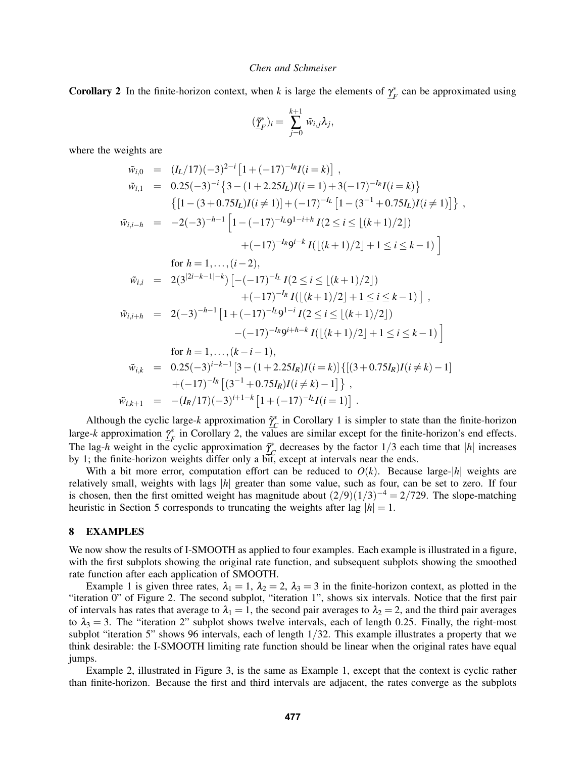**Corollary 2** In the finite-horizon context, when *k* is large the elements of  $\gamma_{\kappa}^*$ *F* can be approximated using

$$
(\tilde{\underline{\gamma}}_F^*)_i = \sum_{j=0}^{k+1} \tilde{w}_{i,j} \lambda_j,
$$

where the weights are

$$
\tilde{w}_{i,0} = (I_L/17)(-3)^{2-i}[1+(-17)^{-I_R}I(i=k)],
$$
\n
$$
\tilde{w}_{i,1} = 0.25(-3)^{-i}\left\{3-(1+2.25I_L)I(i=1)+3(-17)^{-I_R}I(i=k)\right\}
$$
\n
$$
\left\{[1-(3+0.75I_L)I(i\neq 1)]+(-17)^{-I_L}[1-(3^{-1}+0.75I_L)I(i\neq 1)]\right\},
$$
\n
$$
\tilde{w}_{i,i-h} = -2(-3)^{-h-1}\left[1-(-17)^{-I_L}9^{1-i+h}I(2 \leq i \leq \lfloor (k+1)/2 \rfloor) +(-17)^{-I_R}9^{i-k}I(\lfloor (k+1)/2 \rfloor+1 \leq i \leq k-1)\right]
$$
\nfor  $h = 1, ..., (i-2)$ ,  
\n
$$
\tilde{w}_{i,i} = 2(3^{|2i-k-1|-k})\left[-(-17)^{-I_L}I(2 \leq i \leq \lfloor (k+1)/2 \rfloor) +(-17)^{-I_R}I(\lfloor (k+1)/2 \rfloor+1 \leq i \leq k-1)\right],
$$
\n
$$
\tilde{w}_{i,i+h} = 2(-3)^{-h-1}\left[1+(-17)^{-I_L}9^{1-i}I(2 \leq i \leq \lfloor (k+1)/2 \rfloor) -(-17)^{-I_R}9^{i+h-k}I(\lfloor (k+1)/2 \rfloor+1 \leq i \leq k-1)\right]
$$
\nfor  $h = 1, ..., (k-i-1)$ ,  
\n
$$
\tilde{w}_{i,k} = 0.25(-3)^{i-k-1}\left[3-(1+2.25I_R)I(i=k)\right]\left\{[(3+0.75I_R)I(i\neq k)-1]\right\} +(-17)^{-I_R}\left[(3^{-1}+0.75I_R)I(i\neq k)-1\right],
$$
\n
$$
\tilde{w}_{i,k+1} = -(I_R/17)(-3)^{i+1-k}\left[1+(-17)^{-I_L}I(i=1)\right].
$$

Although the cyclic large- $k$  approximation  $\tilde{\gamma}_c^*$  $^*_{C}$  in Corollary 1 is simpler to state than the finite-horizon large-*k* approximation  $\tilde{\gamma}_k^*$  $F_F^*$  in Corollary 2, the values are similar except for the finite-horizon's end effects. The lag-*h* weight in the cyclic approximation  $\tilde{\gamma}_c^*$  $\int_{C}^{*}$  decreases by the factor  $1/3$  each time that  $|h|$  increases by 1; the finite-horizon weights differ only a bit, except at intervals near the ends.

With a bit more error, computation effort can be reduced to  $O(k)$ . Because large- $|h|$  weights are relatively small, weights with lags |*h*| greater than some value, such as four, can be set to zero. If four is chosen, then the first omitted weight has magnitude about  $(2/9)(1/3)^{-4} = 2/729$ . The slope-matching heuristic in Section 5 corresponds to truncating the weights after lag  $|h| = 1$ .

### 8 EXAMPLES

We now show the results of I-SMOOTH as applied to four examples. Each example is illustrated in a figure, with the first subplots showing the original rate function, and subsequent subplots showing the smoothed rate function after each application of SMOOTH.

Example 1 is given three rates,  $\lambda_1 = 1$ ,  $\lambda_2 = 2$ ,  $\lambda_3 = 3$  in the finite-horizon context, as plotted in the "iteration 0" of Figure 2. The second subplot, "iteration 1", shows six intervals. Notice that the first pair of intervals has rates that average to  $\lambda_1 = 1$ , the second pair averages to  $\lambda_2 = 2$ , and the third pair averages to  $\lambda_3 = 3$ . The "iteration 2" subplot shows twelve intervals, each of length 0.25. Finally, the right-most subplot "iteration 5" shows 96 intervals, each of length 1/32. This example illustrates a property that we think desirable: the I-SMOOTH limiting rate function should be linear when the original rates have equal jumps.

Example 2, illustrated in Figure 3, is the same as Example 1, except that the context is cyclic rather than finite-horizon. Because the first and third intervals are adjacent, the rates converge as the subplots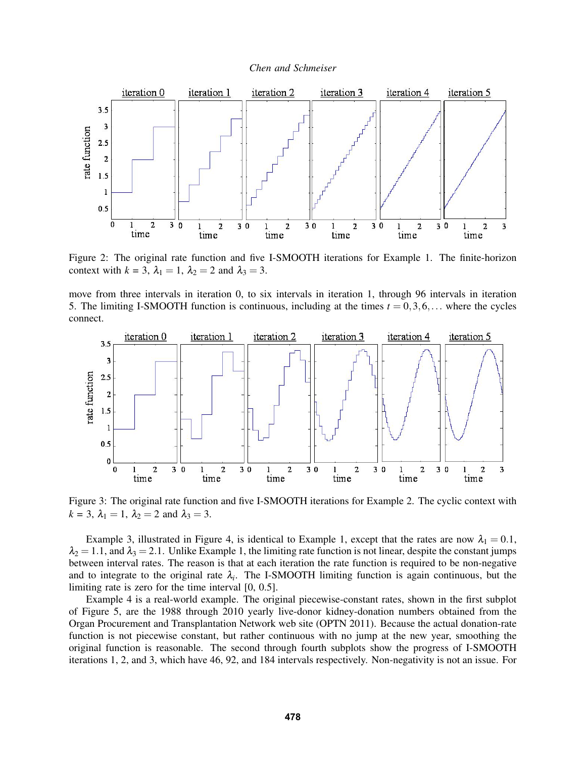



Figure 2: The original rate function and five I-SMOOTH iterations for Example 1. The finite-horizon context with  $k = 3$ ,  $\lambda_1 = 1$ ,  $\lambda_2 = 2$  and  $\lambda_3 = 3$ .

move from three intervals in iteration 0, to six intervals in iteration 1, through 96 intervals in iteration 5. The limiting I-SMOOTH function is continuous, including at the times  $t = 0, 3, 6, \ldots$  where the cycles connect.



Figure 3: The original rate function and five I-SMOOTH iterations for Example 2. The cyclic context with  $k = 3$ ,  $\lambda_1 = 1$ ,  $\lambda_2 = 2$  and  $\lambda_3 = 3$ .

Example 3, illustrated in Figure 4, is identical to Example 1, except that the rates are now  $\lambda_1 = 0.1$ ,  $\lambda_2 = 1.1$ , and  $\lambda_3 = 2.1$ . Unlike Example 1, the limiting rate function is not linear, despite the constant jumps between interval rates. The reason is that at each iteration the rate function is required to be non-negative and to integrate to the original rate  $\lambda_i$ . The I-SMOOTH limiting function is again continuous, but the limiting rate is zero for the time interval [0, 0.5].

Example 4 is a real-world example. The original piecewise-constant rates, shown in the first subplot of Figure 5, are the 1988 through 2010 yearly live-donor kidney-donation numbers obtained from the Organ Procurement and Transplantation Network web site (OPTN 2011). Because the actual donation-rate function is not piecewise constant, but rather continuous with no jump at the new year, smoothing the original function is reasonable. The second through fourth subplots show the progress of I-SMOOTH iterations 1, 2, and 3, which have 46, 92, and 184 intervals respectively. Non-negativity is not an issue. For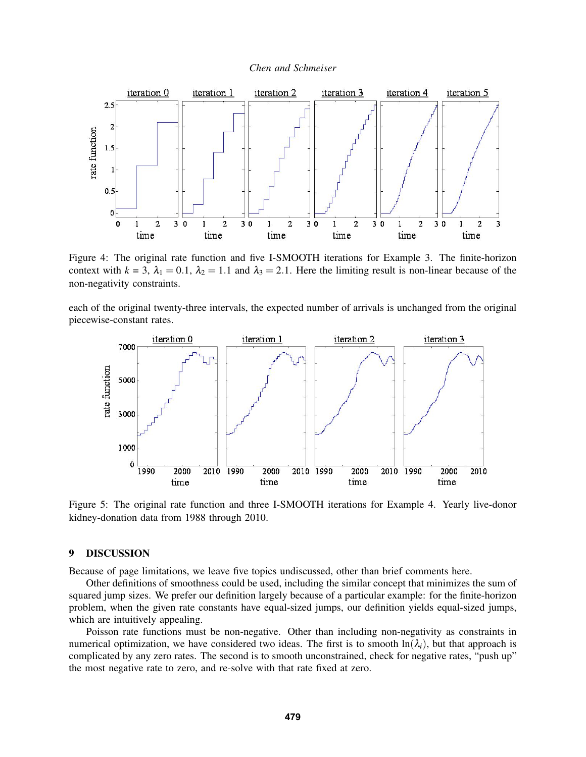



Figure 4: The original rate function and five I-SMOOTH iterations for Example 3. The finite-horizon context with  $k = 3$ ,  $\lambda_1 = 0.1$ ,  $\lambda_2 = 1.1$  and  $\lambda_3 = 2.1$ . Here the limiting result is non-linear because of the non-negativity constraints.

each of the original twenty-three intervals, the expected number of arrivals is unchanged from the original piecewise-constant rates.



Figure 5: The original rate function and three I-SMOOTH iterations for Example 4. Yearly live-donor kidney-donation data from 1988 through 2010.

## 9 DISCUSSION

Because of page limitations, we leave five topics undiscussed, other than brief comments here.

Other definitions of smoothness could be used, including the similar concept that minimizes the sum of squared jump sizes. We prefer our definition largely because of a particular example: for the finite-horizon problem, when the given rate constants have equal-sized jumps, our definition yields equal-sized jumps, which are intuitively appealing.

Poisson rate functions must be non-negative. Other than including non-negativity as constraints in numerical optimization, we have considered two ideas. The first is to smooth  $\ln(\lambda_i)$ , but that approach is complicated by any zero rates. The second is to smooth unconstrained, check for negative rates, "push up" the most negative rate to zero, and re-solve with that rate fixed at zero.